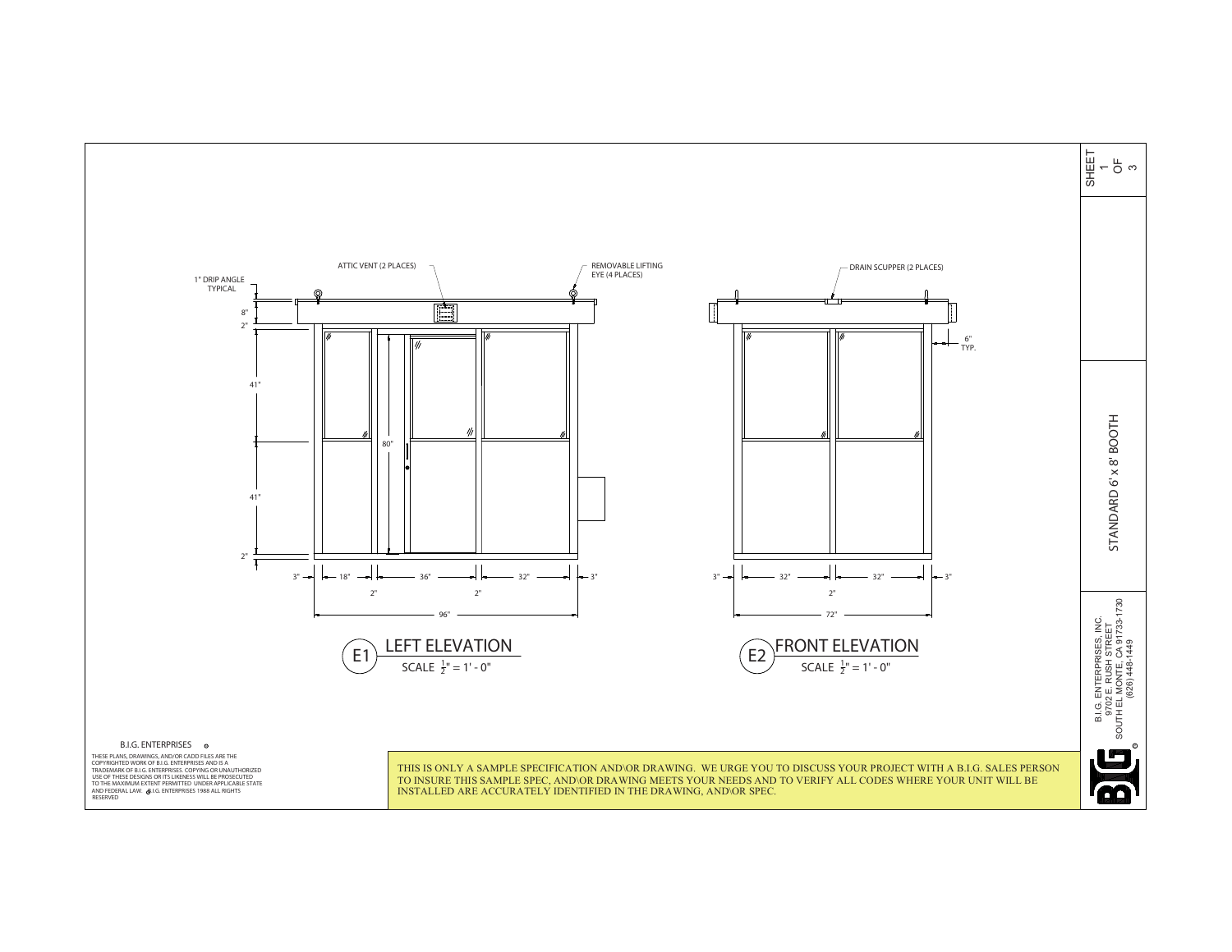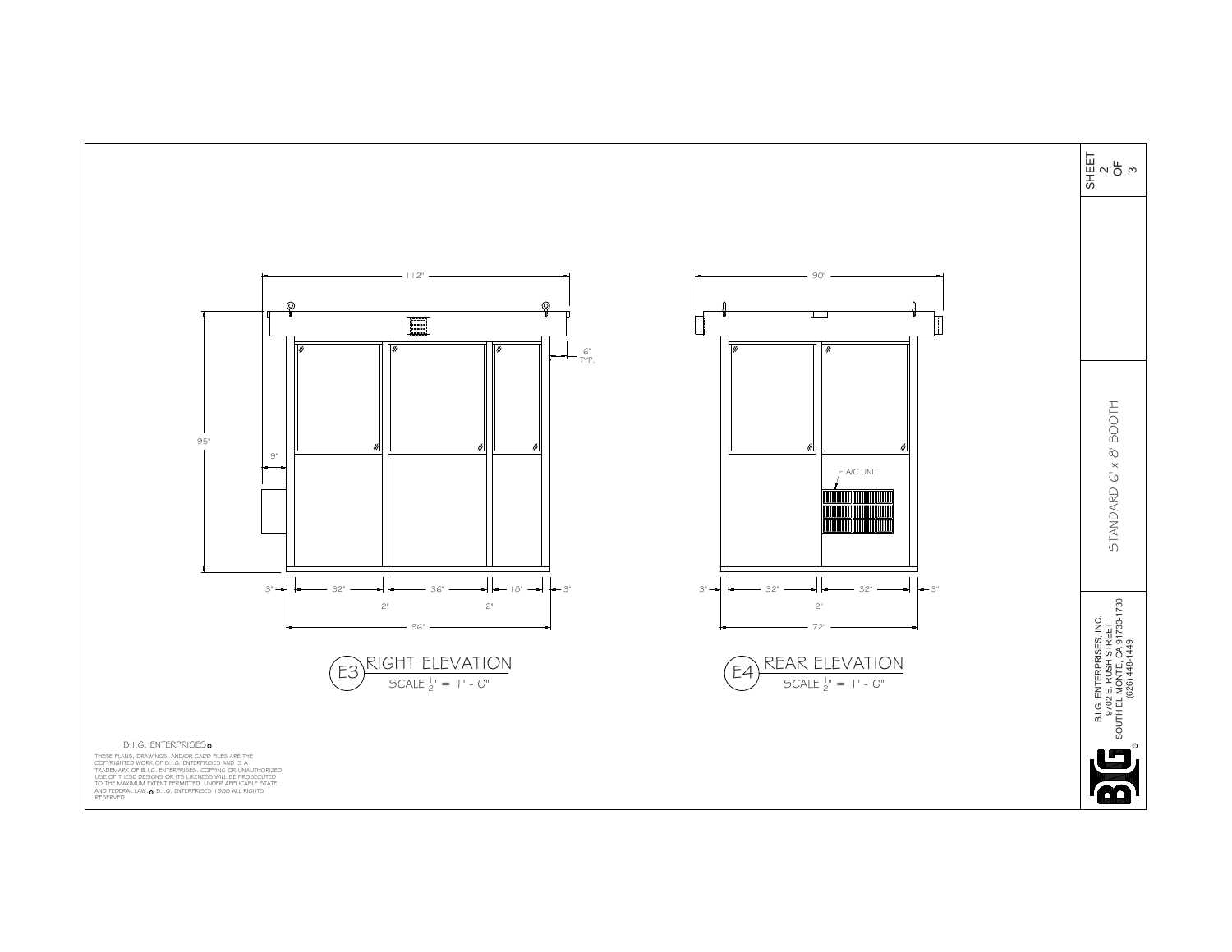